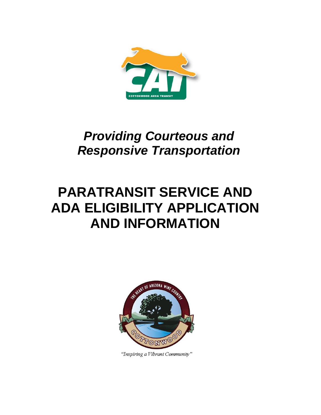

## *Providing Courteous and Responsive Transportation*

# **PARATRANSIT SERVICE AND ADA ELIGIBILITY APPLICATION AND INFORMATION**



"Inspiring a Vibrant Community"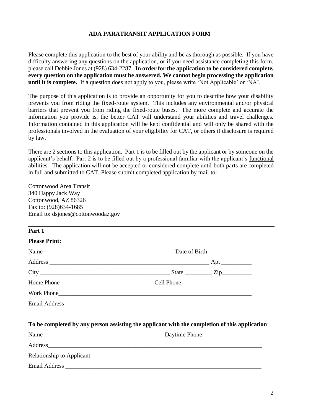#### **ADA PARATRANSIT APPLICATION FORM**

Please complete this application to the best of your ability and be as thorough as possible. If you have difficulty answering any questions on the application, or if you need assistance completing this form, please call Debbie Jones at (928) 634-2287. **In order for the application to be considered complete, every question on the application must be answered. We cannot begin processing the application until it is complete.** If a question does not apply to you, please write 'Not Applicable' or 'NA'.

The purpose of this application is to provide an opportunity for you to describe how your disability prevents you from riding the fixed-route system. This includes any environmental and/or physical barriers that prevent you from riding the fixed-route buses. The more complete and accurate the information you provide is, the better CAT will understand your abilities and travel challenges. Information contained in this application will be kept confidential and will only be shared with the professionals involved in the evaluation of your eligibility for CAT, or others if disclosure is required by law.

There are 2 sections to this application. Part 1 is to be filled out by the applicant or by someone on the applicant's behalf. Part 2 is to be filled out by a professional familiar with the applicant's functional abilities. The application will not be accepted or considered complete until both parts are completed in full and submitted to CAT. Please submit completed application by mail to:

Cottonwood Area Transit 340 Happy Jack Way Cottonwood, AZ 86326 Fax to: (928)634-1685 Email to: dsjones@cottonwoodaz.gov

| Part 1               |                                                                                                                                                                                                                                |  |
|----------------------|--------------------------------------------------------------------------------------------------------------------------------------------------------------------------------------------------------------------------------|--|
| <b>Please Print:</b> |                                                                                                                                                                                                                                |  |
|                      |                                                                                                                                                                                                                                |  |
|                      |                                                                                                                                                                                                                                |  |
|                      |                                                                                                                                                                                                                                |  |
|                      |                                                                                                                                                                                                                                |  |
|                      |                                                                                                                                                                                                                                |  |
|                      |                                                                                                                                                                                                                                |  |
|                      | To be completed by any person assisting the applicant with the completion of this application:                                                                                                                                 |  |
|                      |                                                                                                                                                                                                                                |  |
|                      | Address experience and the contract of the contract of the contract of the contract of the contract of the contract of the contract of the contract of the contract of the contract of the contract of the contract of the con |  |
|                      |                                                                                                                                                                                                                                |  |
|                      |                                                                                                                                                                                                                                |  |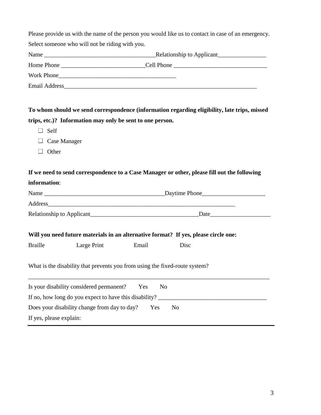|                         |                                                                             |       | Please provide us with the name of the person you would like us to contact in case of an emergency. |  |
|-------------------------|-----------------------------------------------------------------------------|-------|-----------------------------------------------------------------------------------------------------|--|
|                         | Select someone who will not be riding with you.                             |       |                                                                                                     |  |
|                         |                                                                             |       |                                                                                                     |  |
|                         |                                                                             |       |                                                                                                     |  |
|                         |                                                                             |       |                                                                                                     |  |
|                         |                                                                             |       |                                                                                                     |  |
|                         |                                                                             |       | To whom should we send correspondence (information regarding eligibility, late trips, missed        |  |
|                         | trips, etc.)? Information may only be sent to one person.                   |       |                                                                                                     |  |
| $\Box$ Self             |                                                                             |       |                                                                                                     |  |
| $\Box$                  | Case Manager                                                                |       |                                                                                                     |  |
| Other                   |                                                                             |       |                                                                                                     |  |
|                         |                                                                             |       | If we need to send correspondence to a Case Manager or other, please fill out the following         |  |
| information:            |                                                                             |       |                                                                                                     |  |
|                         |                                                                             |       |                                                                                                     |  |
|                         |                                                                             |       |                                                                                                     |  |
|                         |                                                                             |       |                                                                                                     |  |
|                         |                                                                             |       | Will you need future materials in an alternative format? If yes, please circle one:                 |  |
| <b>Braille</b>          | Large Print                                                                 | Email | Disc                                                                                                |  |
|                         | What is the disability that prevents you from using the fixed-route system? |       |                                                                                                     |  |
|                         | Is your disability considered permanent?                                    | Yes   | N <sub>o</sub>                                                                                      |  |
|                         | If no, how long do you expect to have this disability?                      |       |                                                                                                     |  |
|                         | Does your disability change from day to day?                                | Yes   | N <sub>o</sub>                                                                                      |  |
| If yes, please explain: |                                                                             |       |                                                                                                     |  |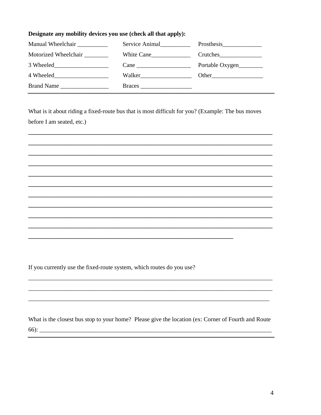#### Designate any mobility devices you use (check all that apply):

| Manual Wheelchair                                               | Service Animal |                 |
|-----------------------------------------------------------------|----------------|-----------------|
| Motorized Wheelchair                                            | White Cane     | Crutches        |
| 3 Wheeled                                                       |                | Portable Oxygen |
| 4 Wheeled<br><u> 1989 - Johann Barbara, martxa alemani</u> ar a | Walker         | Other           |
| Brand Name                                                      |                |                 |

What is it about riding a fixed-route bus that is most difficult for you? (Example: The bus moves before I am seated, etc.)

If you currently use the fixed-route system, which routes do you use?

What is the closest bus stop to your home? Please give the location (ex: Corner of Fourth and Route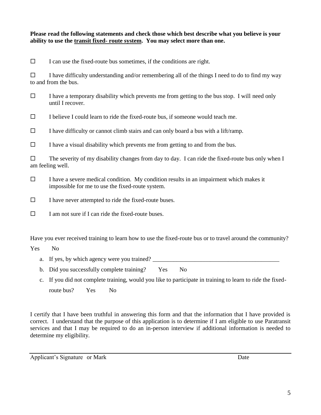#### **Please read the following statements and check those which best describe what you believe is your ability to use the transit fixed- route system. You may select more than one.**

 $\Box$  I can use the fixed-route bus sometimes, if the conditions are right.

 $\Box$  I have difficulty understanding and/or remembering all of the things I need to do to find my way to and from the bus.

 $\Box$  I have a temporary disability which prevents me from getting to the bus stop. I will need only until I recover.

 $\Box$  I believe I could learn to ride the fixed-route bus, if someone would teach me.

 $\Box$  I have difficulty or cannot climb stairs and can only board a bus with a lift/ramp.

 $\Box$  I have a visual disability which prevents me from getting to and from the bus.

 $\Box$  The severity of my disability changes from day to day. I can ride the fixed-route bus only when I am feeling well.

- $\Box$  I have a severe medical condition. My condition results in an impairment which makes it impossible for me to use the fixed-route system.
- $\Box$  I have never attempted to ride the fixed-route buses.
- $\Box$  I am not sure if I can ride the fixed-route buses.

Have you ever received training to learn how to use the fixed-route bus or to travel around the community?

Yes No

- a. If yes, by which agency were you trained?
- b. Did you successfully complete training? Yes No
- c. If you did not complete training, would you like to participate in training to learn to ride the fixedroute bus? Yes No

I certify that I have been truthful in answering this form and that the information that I have provided is correct. I understand that the purpose of this application is to determine if I am eligible to use Paratransit services and that I may be required to do an in-person interview if additional information is needed to determine my eligibility.

Applicant's Signature or Mark Date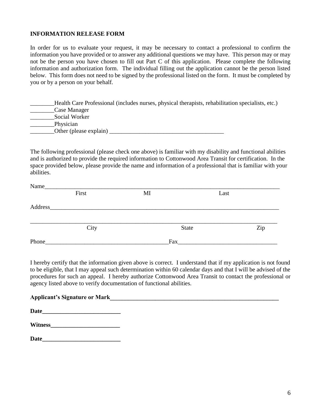#### **INFORMATION RELEASE FORM**

In order for us to evaluate your request, it may be necessary to contact a professional to confirm the information you have provided or to answer any additional questions we may have. This person may or may not be the person you have chosen to fill out Part C of this application. Please complete the following information and authorization form. The individual filling out the application cannot be the person listed below. This form does not need to be signed by the professional listed on the form. It must be completed by you or by a person on your behalf.

|                        | Health Care Professional (includes nurses, physical therapists, rehabilitation specialists, etc.) |
|------------------------|---------------------------------------------------------------------------------------------------|
| Case Manager           |                                                                                                   |
| Social Worker          |                                                                                                   |
| Physician              |                                                                                                   |
| Other (please explain) |                                                                                                   |

The following professional (please check one above) is familiar with my disability and functional abilities and is authorized to provide the required information to Cottonwood Area Transit for certification. In the space provided below, please provide the name and information of a professional that is familiar with your abilities.

| Last                |
|---------------------|
|                     |
|                     |
|                     |
|                     |
| Zip<br><b>State</b> |
|                     |
| Fax                 |
|                     |

I hereby certify that the information given above is correct. I understand that if my application is not found to be eligible, that I may appeal such determination within 60 calendar days and that I will be advised of the procedures for such an appeal. I hereby authorize Cottonwood Area Transit to contact the professional or agency listed above to verify documentation of functional abilities.

| <b>Applicant's Signature or Mark</b><br><u> 1980 - Jan James Santan, masjid a shekarar 1980 - An tsarani a shekara tsarani a shekara tsarani a shekara t</u> |  |  |
|--------------------------------------------------------------------------------------------------------------------------------------------------------------|--|--|
|                                                                                                                                                              |  |  |
|                                                                                                                                                              |  |  |
| Date                                                                                                                                                         |  |  |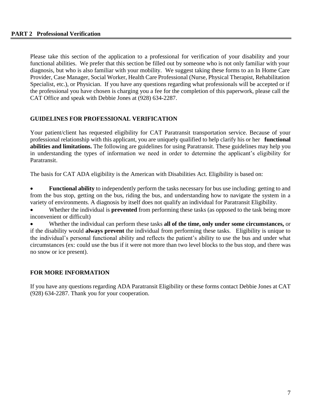Please take this section of the application to a professional for verification of your disability and your functional abilities. We prefer that this section be filled out by someone who is not only familiar with your diagnosis, but who is also familiar with your mobility. We suggest taking these forms to an In Home Care Provider, Case Manager, Social Worker, Health Care Professional (Nurse, Physical Therapist, Rehabilitation Specialist, etc.), or Physician. If you have any questions regarding what professionals will be accepted or if the professional you have chosen is charging you a fee for the completion of this paperwork, please call the CAT Office and speak with Debbie Jones at (928) 634-2287.

#### **GUIDELINES FOR PROFESSIONAL VERIFICATION**

Your patient/client has requested eligibility for CAT Paratransit transportation service. Because of your professional relationship with this applicant, you are uniquely qualified to help clarify his or her **functional abilities and limitations.** The following are guidelines for using Paratransit. These guidelines may help you in understanding the types of information we need in order to determine the applicant's eligibility for Paratransit.

The basis for CAT ADA eligibility is the American with Disabilities Act. Eligibility is based on:

• **Functional ability** to independently perform the tasks necessary for bus use including: getting to and from the bus stop, getting on the bus, riding the bus, and understanding how to navigate the system in a variety of environments. A diagnosis by itself does not qualify an individual for Paratransit Eligibility.

• Whether the individual is **prevented** from performing these tasks (as opposed to the task being more inconvenient or difficult)

• Whether the individual can perform these tasks **all of the time, only under some circumstances,** or if the disability would **always prevent** the individual from performing these tasks. Eligibility is unique to the individual's personal functional ability and reflects the patient's ability to use the bus and under what circumstances (ex: could use the bus if it were not more than two level blocks to the bus stop, and there was no snow or ice present).

#### **FOR MORE INFORMATION**

If you have any questions regarding ADA Paratransit Eligibility or these forms contact Debbie Jones at CAT (928) 634-2287. Thank you for your cooperation.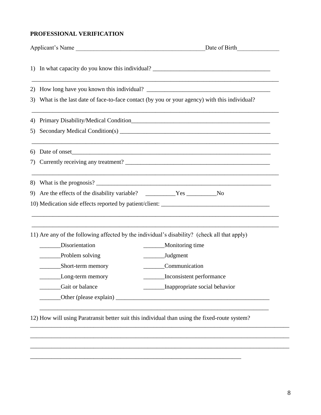### **PROFESSIONAL VERIFICATION**

|    | Applicant's Name                                                                            | Date of Birth                                                                                |  |
|----|---------------------------------------------------------------------------------------------|----------------------------------------------------------------------------------------------|--|
|    |                                                                                             |                                                                                              |  |
| 2) |                                                                                             |                                                                                              |  |
| 3) | What is the last date of face-to-face contact (by you or your agency) with this individual? |                                                                                              |  |
| 4) |                                                                                             | Primary Disability/Medical Condition                                                         |  |
| 5) |                                                                                             |                                                                                              |  |
| 6) |                                                                                             |                                                                                              |  |
| 7) |                                                                                             |                                                                                              |  |
|    |                                                                                             | ,我们也不能在这里的人,我们也不能在这里的人,我们也不能在这里的人,我们也不能在这里的人,我们也不能在这里的人,我们也不能在这里的人,我们也不能在这里的人,我们也            |  |
|    |                                                                                             |                                                                                              |  |
|    |                                                                                             | 10) Medication side effects reported by patient/client:                                      |  |
|    |                                                                                             | 11) Are any of the following affected by the individual's disability? (check all that apply) |  |
|    | Disorientation                                                                              | Monitoring time                                                                              |  |
|    | Problem solving                                                                             | Judgment                                                                                     |  |
|    | Short-term memory                                                                           | Communication                                                                                |  |
|    | Long-term memory                                                                            | Inconsistent performance                                                                     |  |
|    |                                                                                             | Inappropriate social behavior                                                                |  |
|    | Gait or balance                                                                             |                                                                                              |  |

\_\_\_\_\_\_\_\_\_\_\_\_\_\_\_\_\_\_\_\_\_\_\_\_\_\_\_\_\_\_\_\_\_\_\_\_\_\_\_\_\_\_\_\_\_\_\_\_\_\_\_\_\_\_\_\_\_\_\_\_\_\_\_\_\_\_\_\_\_\_\_\_\_\_\_\_\_\_\_\_\_\_\_\_\_\_ \_\_\_\_\_\_\_\_\_\_\_\_\_\_\_\_\_\_\_\_\_\_\_\_\_\_\_\_\_\_\_\_\_\_\_\_\_\_\_\_\_\_\_\_\_\_\_\_\_\_\_\_\_\_\_\_\_\_\_\_\_\_\_\_\_\_\_\_\_\_\_\_\_\_\_\_\_\_\_\_\_\_\_\_\_\_

\_\_\_\_\_\_\_\_\_\_\_\_\_\_\_\_\_\_\_\_\_\_\_\_\_\_\_\_\_\_\_\_\_\_\_\_\_\_\_\_\_\_\_\_\_\_\_\_\_\_\_\_\_\_\_\_\_\_\_\_\_\_\_\_\_\_\_\_\_\_

8